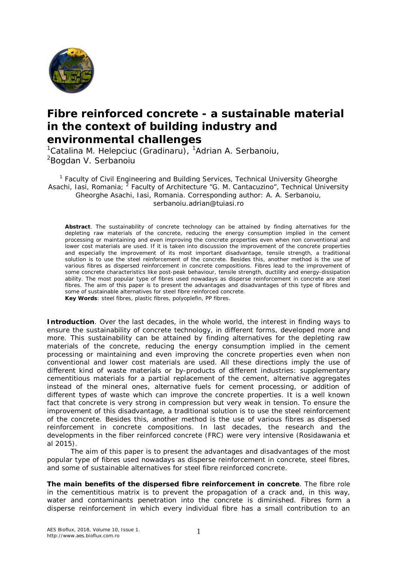

## **Fibre reinforced concrete - a sustainable material in the context of building industry and environmental challenges**

 $1$ Catalina M. Helepciuc (Gradinaru),  $1$ Adrian A. Serbanoiu, <sup>2</sup>Bogdan V. Serbanoiu

<sup>1</sup> Faculty of Civil Engineering and Building Services, Technical University Gheorghe Asachi, Iasi, Romania; <sup>2</sup> Faculty of Architecture "G. M. Cantacuzino", Technical University Gheorghe Asachi, Iasi, Romania. Corresponding author: A. A. Serbanoiu, serbanoiu.adrian@tuiasi.ro

**Abstract**. The sustainability of concrete technology can be attained by finding alternatives for the depleting raw materials of the concrete, reducing the energy consumption implied in the cement processing or maintaining and even improving the concrete properties even when non conventional and lower cost materials are used. If it is taken into discussion the improvement of the concrete properties and especially the improvement of its most important disadvantage, tensile strength, a traditional solution is to use the steel reinforcement of the concrete. Besides this, another method is the use of various fibres as dispersed reinforcement in concrete compositions. Fibres lead to the improvement of some concrete characteristics like post-peak behaviour, tensile strength, ductility and energy-dissipation ability. The most popular type of fibres used nowadays as disperse reinforcement in concrete are steel fibres. The aim of this paper is to present the advantages and disadvantages of this type of fibres and some of sustainable alternatives for steel fibre reinforced concrete. **Key Words**: steel fibres, plastic fibres, polyoplefin, PP fibres.

**Introduction**. Over the last decades, in the whole world, the interest in finding ways to ensure the sustainability of concrete technology, in different forms, developed more and more. This sustainability can be attained by finding alternatives for the depleting raw materials of the concrete, reducing the energy consumption implied in the cement processing or maintaining and even improving the concrete properties even when non conventional and lower cost materials are used. All these directions imply the use of different kind of waste materials or by-products of different industries: supplementary cementitious materials for a partial replacement of the cement, alternative aggregates instead of the mineral ones, alternative fuels for cement processing, or addition of different types of waste which can improve the concrete properties. It is a well known fact that concrete is very strong in compression but very weak in tension. To ensure the improvement of this disadvantage, a traditional solution is to use the steel reinforcement of the concrete. Besides this, another method is the use of various fibres as dispersed reinforcement in concrete compositions. In last decades, the research and the developments in the fiber reinforced concrete (FRC) were very intensive (Rosidawania et al 2015).

The aim of this paper is to present the advantages and disadvantages of the most popular type of fibres used nowadays as disperse reinforcement in concrete, steel fibres, and some of sustainable alternatives for steel fibre reinforced concrete.

**The main benefits of the dispersed fibre reinforcement in concrete**. The fibre role in the cementitious matrix is to prevent the propagation of a crack and, in this way, water and contaminants penetration into the concrete is diminished. Fibres form a disperse reinforcement in which every individual fibre has a small contribution to an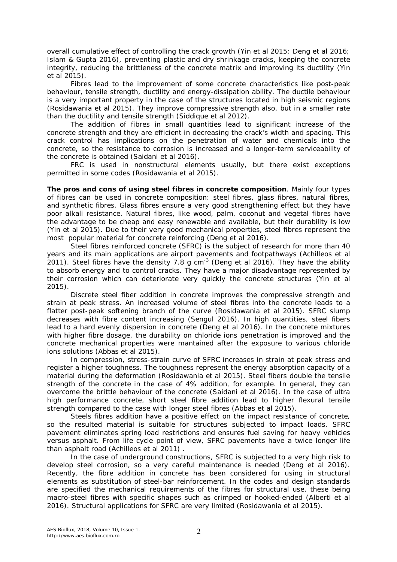overall cumulative effect of controlling the crack growth (Yin et al 2015; Deng et al 2016; Islam & Gupta 2016), preventing plastic and dry shrinkage cracks, keeping the concrete integrity, reducing the brittleness of the concrete matrix and improving its ductility (Yin et al 2015).

Fibres lead to the improvement of some concrete characteristics like post-peak behaviour, tensile strength, ductility and energy-dissipation ability. The ductile behaviour is a very important property in the case of the structures located in high seismic regions (Rosidawania et al 2015). They improve compressive strength also, but in a smaller rate than the ductility and tensile strength (Siddique et al 2012).

The addition of fibres in small quantities lead to significant increase of the concrete strength and they are efficient in decreasing the crack's width and spacing. This crack control has implications on the penetration of water and chemicals into the concrete, so the resistance to corrosion is increased and a longer-term serviceability of the concrete is obtained (Saidani et al 2016).

FRC is used in nonstructural elements usually, but there exist exceptions permitted in some codes (Rosidawania et al 2015).

**The pros and cons of using steel fibres in concrete composition**. Mainly four types of fibres can be used in concrete composition: steel fibres, glass fibres, natural fibres, and synthetic fibres. Glass fibres ensure a very good strengthening effect but they have poor alkali resistance. Natural fibres, like wood, palm, coconut and vegetal fibres have the advantage to be cheap and easy renewable and available, but their durability is low (Yin et al 2015). Due to their very good mechanical properties, steel fibres represent the most popular material for concrete reinforcing (Deng et al 2016).

Steel fibres reinforced concrete (SFRC) is the subject of research for more than 40 years and its main applications are airport pavements and footpathways (Achilleos et al 2011). Steel fibres have the density 7.8 g cm<sup>-3</sup> (Deng et al 2016). They have the ability to absorb energy and to control cracks. They have a major disadvantage represented by their corrosion which can deteriorate very quickly the concrete structures (Yin et al 2015).

Discrete steel fiber addition in concrete improves the compressive strength and strain at peak stress. An increased volume of steel fibres into the concrete leads to a flatter post-peak softening branch of the curve (Rosidawania et al 2015). SFRC slump decreases with fibre content increasing (Sengul 2016). In high quantities, steel fibers lead to a hard evenly dispersion in concrete (Deng et al 2016). In the concrete mixtures with higher fibre dosage, the durability on chloride ions penetration is improved and the concrete mechanical properties were mantained after the exposure to various chloride ions solutions (Abbas et al 2015).

In compression, stress-strain curve of SFRC increases in strain at peak stress and register a higher toughness. The toughness represent the energy absorption capacity of a material during the deformation (Rosidawania et al 2015). Steel fibers double the tensile strength of the concrete in the case of 4% addition, for example. In general, they can overcome the brittle behaviour of the concrete (Saidani et al 2016). In the case of ultra high performance concrete, short steel fibre addition lead to higher flexural tensile strength compared to the case with longer steel fibres (Abbas et al 2015).

Steels fibres addition have a positive effect on the impact resistance of concrete, so the resulted material is suitable for structures subjected to impact loads. SFRC pavement eliminates spring load restrictions and ensures fuel saving for heavy vehicles versus asphalt. From life cycle point of view, SFRC pavements have a twice longer life than asphalt road (Achilleos et al 2011) .

In the case of underground constructions, SFRC is subjected to a very high risk to develop steel corrosion, so a very careful maintenance is needed (Deng et al 2016). Recently, the fibre addition in concrete has been considered for using in structural elements as substitution of steel-bar reinforcement. In the codes and design standards are specified the mechanical requirements of the fibres for structural use, these being macro-steel fibres with specific shapes such as crimped or hooked-ended (Alberti et al 2016). Structural applications for SFRC are very limited (Rosidawania et al 2015).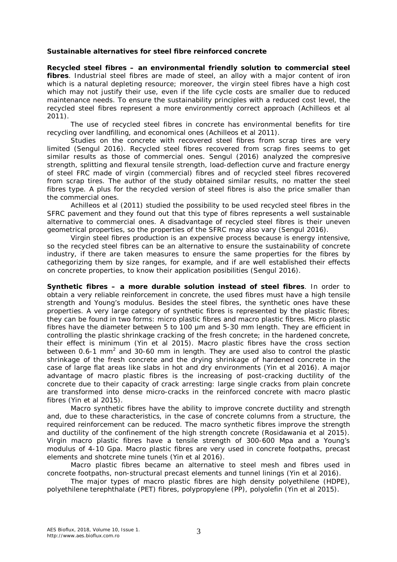## **Sustainable alternatives for steel fibre reinforced concrete**

*Recycled steel fibres – an environmental friendly solution to commercial steel fibres.* Industrial steel fibres are made of steel, an alloy with a major content of iron which is a natural depleting resource; moreover, the virgin steel fibres have a high cost which may not justify their use, even if the life cycle costs are smaller due to reduced maintenance needs. To ensure the sustainability principles with a reduced cost level, the recycled steel fibres represent a more environmently correct approach (Achilleos et al 2011).

The use of recycled steel fibres in concrete has environmental benefits for tire recycling over landfilling, and economical ones (Achilleos et al 2011).

Studies on the concrete with recovered steel fibres from scrap tires are very limited (Sengul 2016). Recycled steel fibres recovered from scrap fires seems to get similar results as those of commercial ones. Sengul (2016) analyzed the compresive strength, splitting and flexural tensile strength, load-deflection curve and fracture energy of steel FRC made of virgin (commercial) fibres and of recycled steel fibres recovered from scrap tires. The author of the study obtained similar results, no matter the steel fibres type. A plus for the recycled version of steel fibres is also the price smaller than the commercial ones.

Achilleos et al (2011) studied the possibility to be used recycled steel fibres in the SFRC pavement and they found out that this type of fibres represents a well sustainable alternative to commercial ones. A disadvantage of recycled steel fibres is their uneven geometrical properties, so the properties of the SFRC may also vary (Sengul 2016).

Virgin steel fibres production is an expensive process because is energy intensive, so the recycled steel fibres can be an alternative to ensure the sustainability of concrete industry, if there are taken measures to ensure the same properties for the fibres by cathegorizing them by size ranges, for example, and if are well established their effects on concrete properties, to know their application posibilities (Sengul 2016).

*Synthetic fibres – a more durable solution instead of steel fibres.* In order to obtain a very reliable reinforcement in concrete, the used fibres must have a high tensile strength and Young's modulus. Besides the steel fibres, the synthetic ones have these properties. A very large category of synthetic fibres is represented by the plastic fibres; they can be found in two forms: micro plastic fibres and macro plastic fibres. Micro plastic fibres have the diameter between 5 to 100 μm and 5-30 mm length. They are efficient in controlling the plastic shrinkage cracking of the fresh concrete; in the hardened concrete, their effect is minimum (Yin et al 2015). Macro plastic fibres have the cross section between 0.6-1 mm<sup>2</sup> and 30-60 mm in length. They are used also to control the plastic shrinkage of the fresh concrete and the drying shrinkage of hardened concrete in the case of large flat areas like slabs in hot and dry environments (Yin et al 2016). A major advantage of macro plastic fibres is the increasing of post-cracking ductility of the concrete due to their capacity of crack arresting: large single cracks from plain concrete are transformed into dense micro-cracks in the reinforced concrete with macro plastic fibres (Yin et al 2015).

Macro synthetic fibres have the ability to improve concrete ductility and strength and, due to these characteristics, in the case of concrete columns from a structure, the required reinforcement can be reduced. The macro synthetic fibres improve the strength and ductility of the confinement of the high strength concrete (Rosidawania et al 2015). Virgin macro plastic fibres have a tensile strength of 300-600 Mpa and a Young's modulus of 4-10 Gpa. Macro plastic fibres are very used in concrete footpaths, precast elements and shotcrete mine tunels (Yin et al 2016).

Macro plastic fibres became an alternative to steel mesh and fibres used in concrete footpaths, non-structural precast elements and tunnel linings (Yin et al 2016).

The major types of macro plastic fibres are high density polyethilene (HDPE), polyethilene terephthalate (PET) fibres, polypropylene (PP), polyolefin (Yin et al 2015).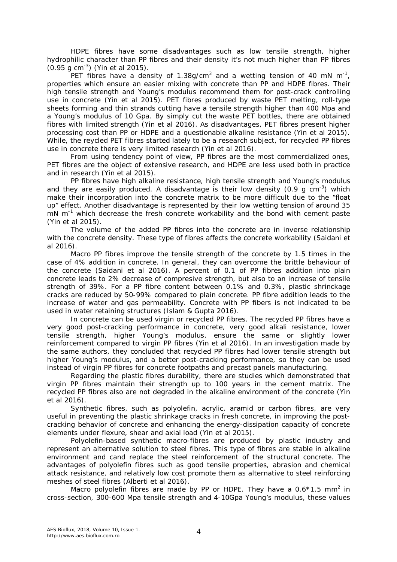HDPE fibres have some disadvantages such as low tensile strength, higher hydrophilic character than PP fibres and their density it's not much higher than PP fibres (0.95 g cm-3 ) (Yin et al 2015).

PET fibres have a density of 1.38g/cm<sup>3</sup> and a wetting tension of 40 mN m<sup>-1</sup>, properties which ensure an easier mixing with concrete than PP and HDPE fibres. Their high tensile strength and Young's modulus recommend them for post-crack controlling use in concrete (Yin et al 2015). PET fibres produced by waste PET melting, roll-type sheets forming and thin strands cutting have a tensile strength higher than 400 Mpa and a Young's modulus of 10 Gpa. By simply cut the waste PET bottles, there are obtained fibres with limited strength (Yin et al 2016). As disadvantages, PET fibres present higher processing cost than PP or HDPE and a questionable alkaline resistance (Yin et al 2015). While, the reycled PET fibres started lately to be a research subject, for recycled PP fibres use in concrete there is very limited research (Yin et al 2016).

From using tendency point of view, PP fibres are the most commercialized ones, PET fibres are the object of extensive research, and HDPE are less used both in practice and in research (Yin et al 2015).

PP fibres have high alkaline resistance, high tensile strength and Young's modulus and they are easily produced. A disadvantage is their low density (0.9 g  $cm^{-3}$ ) which make their incorporation into the concrete matrix to be more difficult due to the "float up" effect. Another disadvantage is represented by their low wetting tension of around 35 mN m<sup>-1</sup> which decrease the fresh concrete workability and the bond with cement paste (Yin et al 2015).

The volume of the added PP fibres into the concrete are in inverse relationship with the concrete density. These type of fibres affects the concrete workability (Saidani et al 2016).

Macro PP fibres improve the tensile strength of the concrete by 1.5 times in the case of 4% addition in concrete. In general, they can overcome the brittle behaviour of the concrete (Saidani et al 2016). A percent of 0.1 of PP fibres addition into plain concrete leads to 2% decrease of compresive strength, but also to an increase of tensile strength of 39%. For a PP fibre content between 0.1% and 0.3%, plastic shrinckage cracks are reduced by 50-99% compared to plain concrete. PP fibre addition leads to the increase of water and gas permeability. Concrete with PP fibers is not indicated to be used in water retaining structures (Islam & Gupta 2016).

In concrete can be used virgin or recycled PP fibres. The recycled PP fibres have a very good post-cracking performance in concrete, very good alkali resistance, lower tensile strength, higher Young's modulus, ensure the same or slightly lower reinforcement compared to virgin PP fibres (Yin et al 2016). In an investigation made by the same authors, they concluded that recycled PP fibres had lower tensile strength but higher Young's modulus, and a better post-cracking performance, so they can be used instead of virgin PP fibres for concrete footpaths and precast panels manufacturing.

Regarding the plastic fibres durability, there are studies which demonstrated that virgin PP fibres maintain their strength up to 100 years in the cement matrix. The recycled PP fibres also are not degraded in the alkaline environment of the concrete (Yin et al 2016).

Synthetic fibres, such as polyolefin, acrylic, aramid or carbon fibres, are very useful in preventing the plastic shrinkage cracks in fresh concrete, in improving the postcracking behavior of concrete and enhancing the energy-dissipation capacity of concrete elements under flexure, shear and axial load (Yin et al 2015).

Polyolefin-based synthetic macro-fibres are produced by plastic industry and represent an alternative solution to steel fibres. This type of fibres are stable in alkaline environment and cand replace the steel reinforcement of the structural concrete. The advantages of polyolefin fibres such as good tensile properties, abrasion and chemical attack resistance, and relatively low cost promote them as alternative to steel reinforcing meshes of steel fibres (Alberti et al 2016).

Macro polyolefin fibres are made by PP or HDPE. They have a  $0.6*1.5$  mm<sup>2</sup> in cross-section, 300-600 Mpa tensile strength and 4-10Gpa Young's modulus, these values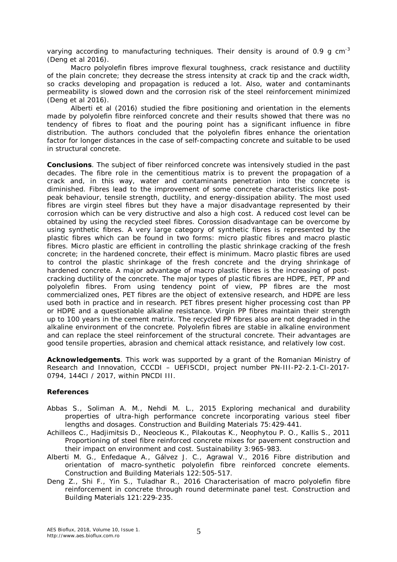varying according to manufacturing techniques. Their density is around of 0.9 g cm<sup>-3</sup> (Deng et al 2016).

Macro polyolefin fibres improve flexural toughness, crack resistance and ductility of the plain concrete; they decrease the stress intensity at crack tip and the crack width, so cracks developing and propagation is reduced a lot. Also, water and contaminants permeability is slowed down and the corrosion risk of the steel reinforcement minimized (Deng et al 2016).

Alberti et al (2016) studied the fibre positioning and orientation in the elements made by polyolefin fibre reinforced concrete and their results showed that there was no tendency of fibres to float and the pouring point has a significant influence in fibre distribution. The authors concluded that the polyolefin fibres enhance the orientation factor for longer distances in the case of self-compacting concrete and suitable to be used in structural concrete.

**Conclusions**. The subject of fiber reinforced concrete was intensively studied in the past decades. The fibre role in the cementitious matrix is to prevent the propagation of a crack and, in this way, water and contaminants penetration into the concrete is diminished. Fibres lead to the improvement of some concrete characteristics like postpeak behaviour, tensile strength, ductility, and energy-dissipation ability. The most used fibres are virgin steel fibres but they have a major disadvantage represented by their corrosion which can be very distructive and also a high cost. A reduced cost level can be obtained by using the recycled steel fibres. Corossion disadvantage can be overcome by using synthetic fibres. A very large category of synthetic fibres is represented by the plastic fibres which can be found in two forms: micro plastic fibres and macro plastic fibres. Micro plastic are efficient in controlling the plastic shrinkage cracking of the fresh concrete; in the hardened concrete, their effect is minimum. Macro plastic fibres are used to control the plastic shrinkage of the fresh concrete and the drying shrinkage of hardened concrete. A major advantage of macro plastic fibres is the increasing of postcracking ductility of the concrete. The major types of plastic fibres are HDPE, PET, PP and polyolefin fibres. From using tendency point of view, PP fibres are the most commercialized ones, PET fibres are the object of extensive research, and HDPE are less used both in practice and in research. PET fibres present higher processing cost than PP or HDPE and a questionable alkaline resistance. Virgin PP fibres maintain their strength up to 100 years in the cement matrix. The recycled PP fibres also are not degraded in the alkaline environment of the concrete. Polyolefin fibres are stable in alkaline environment and can replace the steel reinforcement of the structural concrete. Their advantages are good tensile properties, abrasion and chemical attack resistance, and relatively low cost.

**Acknowledgements**. This work was supported by a grant of the Romanian Ministry of Research and Innovation, CCCDI – UEFISCDI, project number PN-III-P2-2.1-CI-2017- 0794, 144CI / 2017, within PNCDI III.

## **References**

- Abbas S., Soliman A. M., Nehdi M. L., 2015 Exploring mechanical and durability properties of ultra-high performance concrete incorporating various steel fiber lengths and dosages. Construction and Building Materials 75:429-441.
- Achilleos C., Hadjimitsis D., Neocleous K., Pilakoutas K., Neophytou P. O., Kallis S., 2011 Proportioning of steel fibre reinforced concrete mixes for pavement construction and their impact on environment and cost. Sustainability 3:965-983.
- Alberti M. G., Enfedaque A., Gálvez J. C., Agrawal V., 2016 Fibre distribution and orientation of macro-synthetic polyolefin fibre reinforced concrete elements. Construction and Building Materials 122:505-517.
- Deng Z., Shi F., Yin S., Tuladhar R., 2016 Characterisation of macro polyolefin fibre reinforcement in concrete through round determinate panel test. Construction and Building Materials 121:229-235.